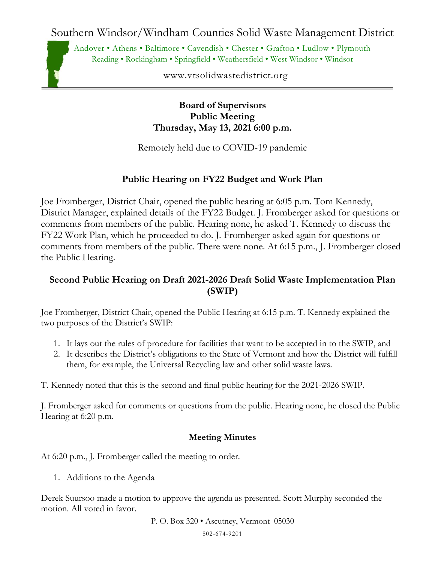Southern Windsor/Windham Counties Solid Waste Management District

Andover • Athens • Baltimore • Cavendish • Chester • Grafton • Ludlow • Plymouth Reading • Rockingham • Springfield • Weathersfield • West Windsor • Windsor

www.vtsolidwastedistrict.org

**Board of Supervisors Public Meeting Thursday, May 13, 2021 6:00 p.m.**

Remotely held due to COVID-19 pandemic

## **Public Hearing on FY22 Budget and Work Plan**

Joe Fromberger, District Chair, opened the public hearing at 6:05 p.m. Tom Kennedy, District Manager, explained details of the FY22 Budget. J. Fromberger asked for questions or comments from members of the public. Hearing none, he asked T. Kennedy to discuss the FY22 Work Plan, which he proceeded to do. J. Fromberger asked again for questions or comments from members of the public. There were none. At 6:15 p.m., J. Fromberger closed the Public Hearing.

## **Second Public Hearing on Draft 2021-2026 Draft Solid Waste Implementation Plan (SWIP)**

Joe Fromberger, District Chair, opened the Public Hearing at 6:15 p.m. T. Kennedy explained the two purposes of the District's SWIP:

- 1. It lays out the rules of procedure for facilities that want to be accepted in to the SWIP, and
- 2. It describes the District's obligations to the State of Vermont and how the District will fulfill them, for example, the Universal Recycling law and other solid waste laws.

T. Kennedy noted that this is the second and final public hearing for the 2021-2026 SWIP.

J. Fromberger asked for comments or questions from the public. Hearing none, he closed the Public Hearing at 6:20 p.m.

## **Meeting Minutes**

At 6:20 p.m., J. Fromberger called the meeting to order.

1. Additions to the Agenda

Derek Suursoo made a motion to approve the agenda as presented. Scott Murphy seconded the motion. All voted in favor.

P. O. Box 320 • Ascutney, Vermont 05030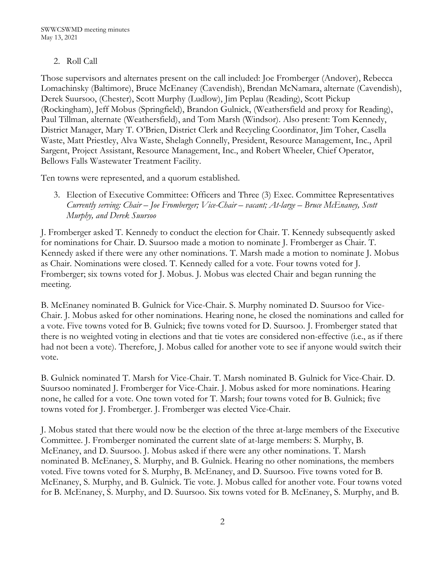## 2. Roll Call

Those supervisors and alternates present on the call included: Joe Fromberger (Andover), Rebecca Lomachinsky (Baltimore), Bruce McEnaney (Cavendish), Brendan McNamara, alternate (Cavendish), Derek Suursoo, (Chester), Scott Murphy (Ludlow), Jim Peplau (Reading), Scott Pickup (Rockingham), Jeff Mobus (Springfield), Brandon Gulnick, (Weathersfield and proxy for Reading), Paul Tillman, alternate (Weathersfield), and Tom Marsh (Windsor). Also present: Tom Kennedy, District Manager, Mary T. O'Brien, District Clerk and Recycling Coordinator, Jim Toher, Casella Waste, Matt Priestley, Alva Waste, Shelagh Connelly, President, Resource Management, Inc., April Sargent, Project Assistant, Resource Management, Inc., and Robert Wheeler, Chief Operator, Bellows Falls Wastewater Treatment Facility.

Ten towns were represented, and a quorum established.

3. Election of Executive Committee: Officers and Three (3) Exec. Committee Representatives *Currently serving: Chair – Joe Fromberger; Vice-Chair – vacant; At-large – Bruce McEnaney, Scott Murphy, and Derek Suursoo*

J. Fromberger asked T. Kennedy to conduct the election for Chair. T. Kennedy subsequently asked for nominations for Chair. D. Suursoo made a motion to nominate J. Fromberger as Chair. T. Kennedy asked if there were any other nominations. T. Marsh made a motion to nominate J. Mobus as Chair. Nominations were closed. T. Kennedy called for a vote. Four towns voted for J. Fromberger; six towns voted for J. Mobus. J. Mobus was elected Chair and began running the meeting.

B. McEnaney nominated B. Gulnick for Vice-Chair. S. Murphy nominated D. Suursoo for Vice-Chair. J. Mobus asked for other nominations. Hearing none, he closed the nominations and called for a vote. Five towns voted for B. Gulnick; five towns voted for D. Suursoo. J. Fromberger stated that there is no weighted voting in elections and that tie votes are considered non-effective (i.e., as if there had not been a vote). Therefore, J. Mobus called for another vote to see if anyone would switch their vote.

B. Gulnick nominated T. Marsh for Vice-Chair. T. Marsh nominated B. Gulnick for Vice-Chair. D. Suursoo nominated J. Fromberger for Vice-Chair. J. Mobus asked for more nominations. Hearing none, he called for a vote. One town voted for T. Marsh; four towns voted for B. Gulnick; five towns voted for J. Fromberger. J. Fromberger was elected Vice-Chair.

J. Mobus stated that there would now be the election of the three at-large members of the Executive Committee. J. Fromberger nominated the current slate of at-large members: S. Murphy, B. McEnaney, and D. Suursoo. J. Mobus asked if there were any other nominations. T. Marsh nominated B. McEnaney, S. Murphy, and B. Gulnick. Hearing no other nominations, the members voted. Five towns voted for S. Murphy, B. McEnaney, and D. Suursoo. Five towns voted for B. McEnaney, S. Murphy, and B. Gulnick. Tie vote. J. Mobus called for another vote. Four towns voted for B. McEnaney, S. Murphy, and D. Suursoo. Six towns voted for B. McEnaney, S. Murphy, and B.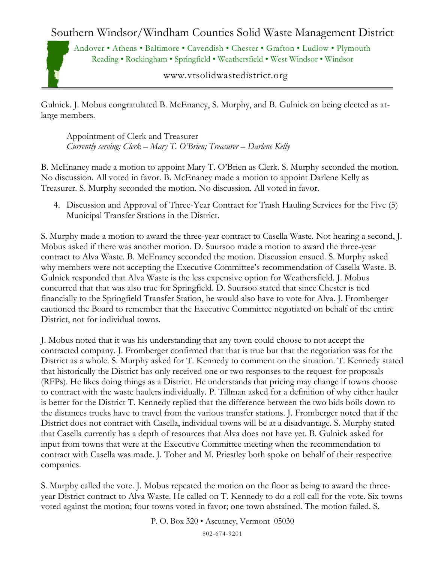Southern Windsor/Windham Counties Solid Waste Management District

Andover • Athens • Baltimore • Cavendish • Chester • Grafton • Ludlow • Plymouth Reading • Rockingham • Springfield • Weathersfield • West Windsor • Windsor

www.vtsolidwastedistrict.org

Gulnick. J. Mobus congratulated B. McEnaney, S. Murphy, and B. Gulnick on being elected as atlarge members.

Appointment of Clerk and Treasurer *Currently serving: Clerk – Mary T. O'Brien; Treasurer – Darlene Kelly*

B. McEnaney made a motion to appoint Mary T. O'Brien as Clerk. S. Murphy seconded the motion. No discussion. All voted in favor. B. McEnaney made a motion to appoint Darlene Kelly as Treasurer. S. Murphy seconded the motion. No discussion. All voted in favor.

4. Discussion and Approval of Three-Year Contract for Trash Hauling Services for the Five (5) Municipal Transfer Stations in the District.

S. Murphy made a motion to award the three-year contract to Casella Waste. Not hearing a second, J. Mobus asked if there was another motion. D. Suursoo made a motion to award the three-year contract to Alva Waste. B. McEnaney seconded the motion. Discussion ensued. S. Murphy asked why members were not accepting the Executive Committee's recommendation of Casella Waste. B. Gulnick responded that Alva Waste is the less expensive option for Weathersfield. J. Mobus concurred that that was also true for Springfield. D. Suursoo stated that since Chester is tied financially to the Springfield Transfer Station, he would also have to vote for Alva. J. Fromberger cautioned the Board to remember that the Executive Committee negotiated on behalf of the entire District, not for individual towns.

J. Mobus noted that it was his understanding that any town could choose to not accept the contracted company. J. Fromberger confirmed that that is true but that the negotiation was for the District as a whole. S. Murphy asked for T. Kennedy to comment on the situation. T. Kennedy stated that historically the District has only received one or two responses to the request-for-proposals (RFPs). He likes doing things as a District. He understands that pricing may change if towns choose to contract with the waste haulers individually. P. Tillman asked for a definition of why either hauler is better for the District T. Kennedy replied that the difference between the two bids boils down to the distances trucks have to travel from the various transfer stations. J. Fromberger noted that if the District does not contract with Casella, individual towns will be at a disadvantage. S. Murphy stated that Casella currently has a depth of resources that Alva does not have yet. B. Gulnick asked for input from towns that were at the Executive Committee meeting when the recommendation to contract with Casella was made. J. Toher and M. Priestley both spoke on behalf of their respective companies.

S. Murphy called the vote. J. Mobus repeated the motion on the floor as being to award the threeyear District contract to Alva Waste. He called on T. Kennedy to do a roll call for the vote. Six towns voted against the motion; four towns voted in favor; one town abstained. The motion failed. S.

P. O. Box 320 • Ascutney, Vermont 05030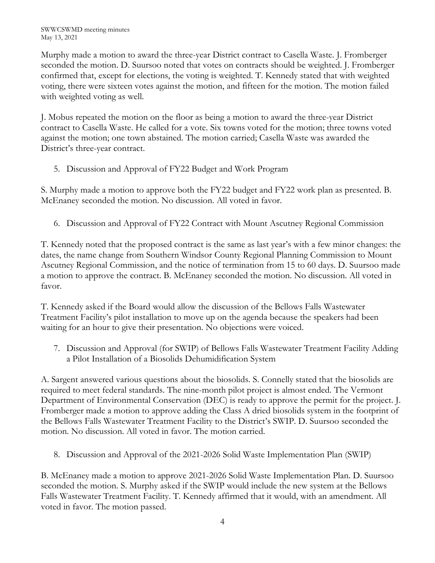SWWCSWMD meeting minutes May 13, 2021

Murphy made a motion to award the three-year District contract to Casella Waste. J. Fromberger seconded the motion. D. Suursoo noted that votes on contracts should be weighted. J. Fromberger confirmed that, except for elections, the voting is weighted. T. Kennedy stated that with weighted voting, there were sixteen votes against the motion, and fifteen for the motion. The motion failed with weighted voting as well.

J. Mobus repeated the motion on the floor as being a motion to award the three-year District contract to Casella Waste. He called for a vote. Six towns voted for the motion; three towns voted against the motion; one town abstained. The motion carried; Casella Waste was awarded the District's three-year contract.

5. Discussion and Approval of FY22 Budget and Work Program

S. Murphy made a motion to approve both the FY22 budget and FY22 work plan as presented. B. McEnaney seconded the motion. No discussion. All voted in favor.

6. Discussion and Approval of FY22 Contract with Mount Ascutney Regional Commission

T. Kennedy noted that the proposed contract is the same as last year's with a few minor changes: the dates, the name change from Southern Windsor County Regional Planning Commission to Mount Ascutney Regional Commission, and the notice of termination from 15 to 60 days. D. Suursoo made a motion to approve the contract. B. McEnaney seconded the motion. No discussion. All voted in favor.

T. Kennedy asked if the Board would allow the discussion of the Bellows Falls Wastewater Treatment Facility's pilot installation to move up on the agenda because the speakers had been waiting for an hour to give their presentation. No objections were voiced.

7. Discussion and Approval (for SWIP) of Bellows Falls Wastewater Treatment Facility Adding a Pilot Installation of a Biosolids Dehumidification System

A. Sargent answered various questions about the biosolids. S. Connelly stated that the biosolids are required to meet federal standards. The nine-month pilot project is almost ended. The Vermont Department of Environmental Conservation (DEC) is ready to approve the permit for the project. J. Fromberger made a motion to approve adding the Class A dried biosolids system in the footprint of the Bellows Falls Wastewater Treatment Facility to the District's SWIP. D. Suursoo seconded the motion. No discussion. All voted in favor. The motion carried.

8. Discussion and Approval of the 2021-2026 Solid Waste Implementation Plan (SWIP)

B. McEnaney made a motion to approve 2021-2026 Solid Waste Implementation Plan. D. Suursoo seconded the motion. S. Murphy asked if the SWIP would include the new system at the Bellows Falls Wastewater Treatment Facility. T. Kennedy affirmed that it would, with an amendment. All voted in favor. The motion passed.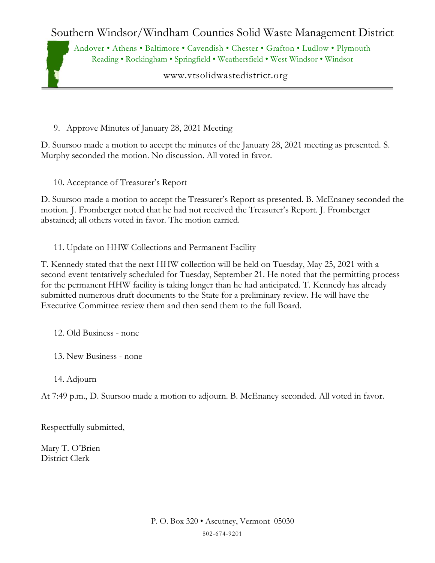Southern Windsor/Windham Counties Solid Waste Management District

Andover • Athens • Baltimore • Cavendish • Chester • Grafton • Ludlow • Plymouth Reading • Rockingham • Springfield • Weathersfield • West Windsor • Windsor

www.vtsolidwastedistrict.org

9. Approve Minutes of January 28, 2021 Meeting

D. Suursoo made a motion to accept the minutes of the January 28, 2021 meeting as presented. S. Murphy seconded the motion. No discussion. All voted in favor.

10. Acceptance of Treasurer's Report

D. Suursoo made a motion to accept the Treasurer's Report as presented. B. McEnaney seconded the motion. J. Fromberger noted that he had not received the Treasurer's Report. J. Fromberger abstained; all others voted in favor. The motion carried.

11. Update on HHW Collections and Permanent Facility

T. Kennedy stated that the next HHW collection will be held on Tuesday, May 25, 2021 with a second event tentatively scheduled for Tuesday, September 21. He noted that the permitting process for the permanent HHW facility is taking longer than he had anticipated. T. Kennedy has already submitted numerous draft documents to the State for a preliminary review. He will have the Executive Committee review them and then send them to the full Board.

12. Old Business - none

- 13. New Business none
- 14. Adjourn

At 7:49 p.m., D. Suursoo made a motion to adjourn. B. McEnaney seconded. All voted in favor.

Respectfully submitted,

Mary T. O'Brien District Clerk